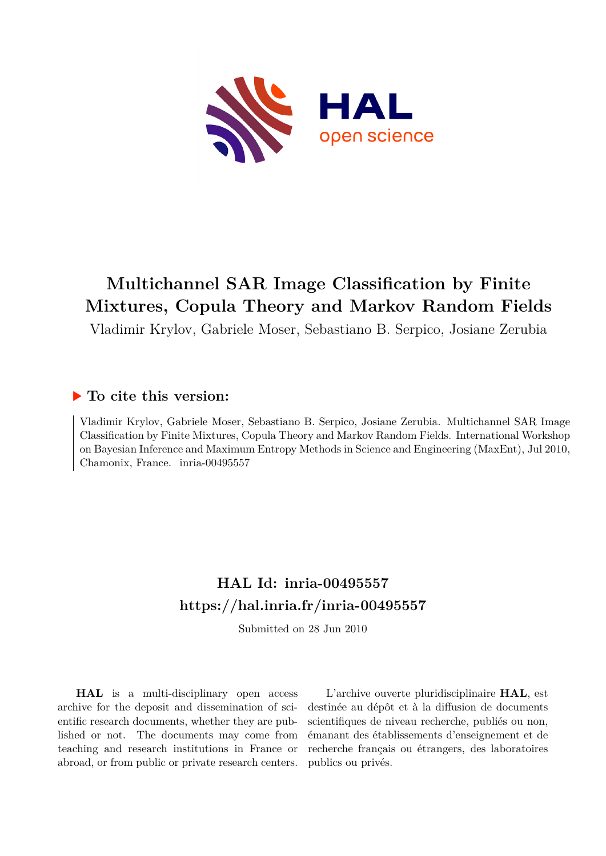

# **Multichannel SAR Image Classification by Finite Mixtures, Copula Theory and Markov Random Fields**

Vladimir Krylov, Gabriele Moser, Sebastiano B. Serpico, Josiane Zerubia

## **To cite this version:**

Vladimir Krylov, Gabriele Moser, Sebastiano B. Serpico, Josiane Zerubia. Multichannel SAR Image Classification by Finite Mixtures, Copula Theory and Markov Random Fields. International Workshop on Bayesian Inference and Maximum Entropy Methods in Science and Engineering (MaxEnt), Jul 2010, Chamonix, France. inria-00495557

## **HAL Id: inria-00495557 <https://hal.inria.fr/inria-00495557>**

Submitted on 28 Jun 2010

**HAL** is a multi-disciplinary open access archive for the deposit and dissemination of scientific research documents, whether they are published or not. The documents may come from teaching and research institutions in France or abroad, or from public or private research centers.

L'archive ouverte pluridisciplinaire **HAL**, est destinée au dépôt et à la diffusion de documents scientifiques de niveau recherche, publiés ou non, émanant des établissements d'enseignement et de recherche français ou étrangers, des laboratoires publics ou privés.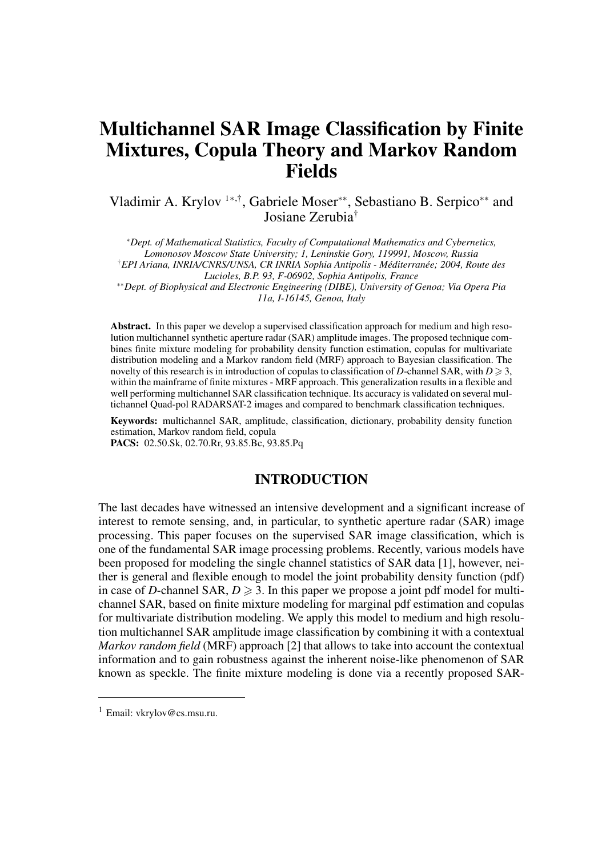## Multichannel SAR Image Classification by Finite Mixtures, Copula Theory and Markov Random Fields

Vladimir A. Krylov <sup>1</sup>*∗*,†, Gabriele Moser*∗∗*, Sebastiano B. Serpico*∗∗* and Josiane Zerubia†

*<sup>∗</sup>Dept. of Mathematical Statistics, Faculty of Computational Mathematics and Cybernetics, Lomonosov Moscow State University; 1, Leninskie Gory, 119991, Moscow, Russia* †*EPI Ariana, INRIA/CNRS/UNSA, CR INRIA Sophia Antipolis - Méditerranée; 2004, Route des Lucioles, B.P. 93, F-06902, Sophia Antipolis, France ∗∗Dept. of Biophysical and Electronic Engineering (DIBE), University of Genoa; Via Opera Pia*

*11a, I-16145, Genoa, Italy*

Abstract. In this paper we develop a supervised classification approach for medium and high resolution multichannel synthetic aperture radar (SAR) amplitude images. The proposed technique combines finite mixture modeling for probability density function estimation, copulas for multivariate distribution modeling and a Markov random field (MRF) approach to Bayesian classification. The novelty of this research is in introduction of copulas to classification of *D*-channel SAR, with  $D \ge 3$ , within the mainframe of finite mixtures - MRF approach. This generalization results in a flexible and well performing multichannel SAR classification technique. Its accuracy is validated on several multichannel Quad-pol RADARSAT-2 images and compared to benchmark classification techniques.

Keywords: multichannel SAR, amplitude, classification, dictionary, probability density function estimation, Markov random field, copula

PACS: 02.50.Sk, 02.70.Rr, 93.85.Bc, 93.85.Pq

## INTRODUCTION

The last decades have witnessed an intensive development and a significant increase of interest to remote sensing, and, in particular, to synthetic aperture radar (SAR) image processing. This paper focuses on the supervised SAR image classification, which is one of the fundamental SAR image processing problems. Recently, various models have been proposed for modeling the single channel statistics of SAR data [1], however, neither is general and flexible enough to model the joint probability density function (pdf) in case of *D*-channel SAR,  $D \ge 3$ . In this paper we propose a joint pdf model for multichannel SAR, based on finite mixture modeling for marginal pdf estimation and copulas for multivariate distribution modeling. We apply this model to medium and high resolution multichannel SAR amplitude image classification by combining it with a contextual *Markov random field* (MRF) approach [2] that allows to take into account the contextual information and to gain robustness against the inherent noise-like phenomenon of SAR known as speckle. The finite mixture modeling is done via a recently proposed SAR-

<sup>1</sup> Email: vkrylov@cs.msu.ru.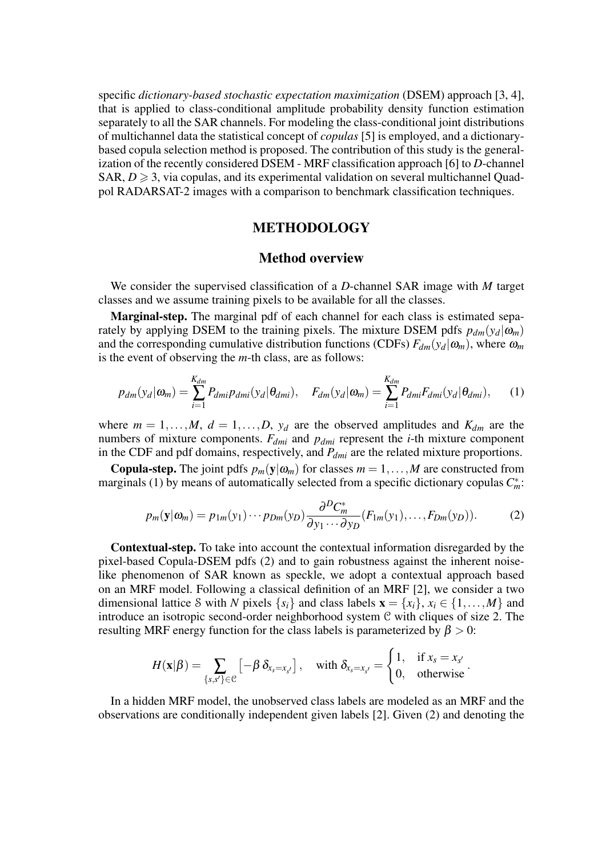specific *dictionary-based stochastic expectation maximization* (DSEM) approach [3, 4], that is applied to class-conditional amplitude probability density function estimation separately to all the SAR channels. For modeling the class-conditional joint distributions of multichannel data the statistical concept of *copulas* [5] is employed, and a dictionarybased copula selection method is proposed. The contribution of this study is the generalization of the recently considered DSEM - MRF classification approach [6] to *D*-channel SAR,  $D \geq 3$ , via copulas, and its experimental validation on several multichannel Quadpol RADARSAT-2 images with a comparison to benchmark classification techniques.

## METHODOLOGY

#### Method overview

We consider the supervised classification of a *D*-channel SAR image with *M* target classes and we assume training pixels to be available for all the classes.

Marginal-step. The marginal pdf of each channel for each class is estimated separately by applying DSEM to the training pixels. The mixture DSEM pdfs  $p_{dm}(y_d|\omega_m)$ and the corresponding cumulative distribution functions (CDFs)  $F_{dm}(y_d|\omega_m)$ , where  $\omega_m$ is the event of observing the *m*-th class, are as follows:

$$
p_{dm}(y_d|\omega_m) = \sum_{i=1}^{K_{dm}} P_{dmi} p_{dmi}(y_d|\theta_{dmi}), \quad F_{dm}(y_d|\omega_m) = \sum_{i=1}^{K_{dm}} P_{dmi} F_{dmi}(y_d|\theta_{dmi}), \quad (1)
$$

where  $m = 1, \ldots, M$ ,  $d = 1, \ldots, D$ ,  $y_d$  are the observed amplitudes and  $K_{dm}$  are the numbers of mixture components. *Fdmi* and *pdmi* represent the *i*-th mixture component in the CDF and pdf domains, respectively, and *Pdmi* are the related mixture proportions.

**Copula-step.** The joint pdfs  $p_m(y|\omega_m)$  for classes  $m = 1, \ldots, M$  are constructed from marginals (1) by means of automatically selected from a specific dictionary copulas  $C_m^*$ .

$$
p_m(\mathbf{y}|\boldsymbol{\omega}_m) = p_{1m}(y_1) \cdots p_{Dm}(y_D) \frac{\partial^D C_m^*}{\partial y_1 \cdots \partial y_D} (F_{1m}(y_1), \dots, F_{Dm}(y_D)). \tag{2}
$$

Contextual-step. To take into account the contextual information disregarded by the pixel-based Copula-DSEM pdfs (2) and to gain robustness against the inherent noiselike phenomenon of SAR known as speckle, we adopt a contextual approach based on an MRF model. Following a classical definition of an MRF [2], we consider a two dimensional lattice S with *N* pixels  $\{s_i\}$  and class labels  $\mathbf{x} = \{x_i\}, x_i \in \{1, ..., M\}$  and introduce an isotropic second-order neighborhood system C with cliques of size 2. The resulting MRF energy function for the class labels is parameterized by  $\beta > 0$ :

$$
H(\mathbf{x}|\boldsymbol{\beta}) = \sum_{\{s,s'\} \in \mathcal{C}} \left[-\boldsymbol{\beta} \ \delta_{x_s = x_{s'}} \right], \quad \text{with } \delta_{x_s = x_{s'}} = \begin{cases} 1, & \text{if } x_s = x_{s'} \\ 0, & \text{otherwise} \end{cases}.
$$

In a hidden MRF model, the unobserved class labels are modeled as an MRF and the observations are conditionally independent given labels [2]. Given (2) and denoting the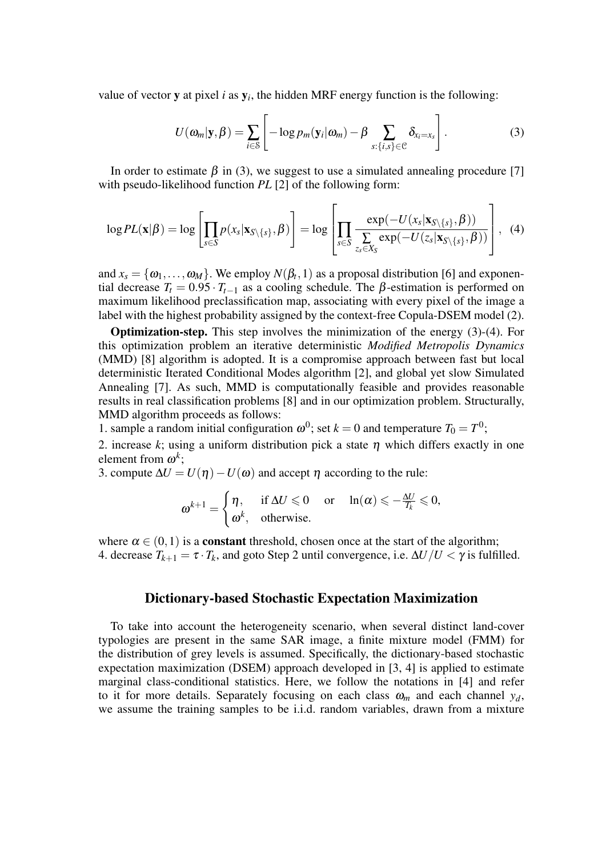value of vector **y** at pixel *i* as  $y_i$ , the hidden MRF energy function is the following:

$$
U(\boldsymbol{\omega}_m|\mathbf{y},\boldsymbol{\beta})=\sum_{i\in\mathcal{S}}\left[-\log p_m(\mathbf{y}_i|\boldsymbol{\omega}_m)-\boldsymbol{\beta}\sum_{s:\{i,s\}\in\mathcal{C}}\delta_{x_i=x_s}\right].
$$
 (3)

In order to estimate  $\beta$  in (3), we suggest to use a simulated annealing procedure [7] with pseudo-likelihood function *PL* [2] of the following form:

$$
\log PL(\mathbf{x}|\boldsymbol{\beta}) = \log \left[ \prod_{s \in S} p(x_s | \mathbf{x}_{S \setminus \{s\}}, \boldsymbol{\beta}) \right] = \log \left[ \prod_{s \in S} \frac{\exp(-U(x_s | \mathbf{x}_{S \setminus \{s\}}, \boldsymbol{\beta}))}{\sum_{s \in S} \exp(-U(z_s | \mathbf{x}_{S \setminus \{s\}}, \boldsymbol{\beta}))} \right], \quad (4)
$$

and  $x_s = \{\omega_1, \ldots, \omega_M\}$ . We employ  $N(\beta_t, 1)$  as a proposal distribution [6] and exponential decrease  $T_t = 0.95 \cdot T_{t-1}$  as a cooling schedule. The  $\beta$ -estimation is performed on maximum likelihood preclassification map, associating with every pixel of the image a label with the highest probability assigned by the context-free Copula-DSEM model (2).

Optimization-step. This step involves the minimization of the energy (3)-(4). For this optimization problem an iterative deterministic *Modified Metropolis Dynamics* (MMD) [8] algorithm is adopted. It is a compromise approach between fast but local deterministic Iterated Conditional Modes algorithm [2], and global yet slow Simulated Annealing [7]. As such, MMD is computationally feasible and provides reasonable results in real classification problems [8] and in our optimization problem. Structurally, MMD algorithm proceeds as follows:

1. sample a random initial configuration  $\omega^0$ ; set  $k = 0$  and temperature  $T_0 = T^0$ ;

2. increase *k*; using a uniform distribution pick a state  $\eta$  which differs exactly in one element from  $\omega^k$ ;

3. compute  $\Delta U = U(\eta) - U(\omega)$  and accept  $\eta$  according to the rule:

$$
\omega^{k+1} = \begin{cases} \eta, & \text{if } \Delta U \leq 0 \quad \text{or} \quad \ln(\alpha) \leq -\frac{\Delta U}{T_k} \leq 0, \\ \omega^k, & \text{otherwise.} \end{cases}
$$

where  $\alpha \in (0,1)$  is a **constant** threshold, chosen once at the start of the algorithm; 4. decrease  $T_{k+1} = \tau \cdot T_k$ , and goto Step 2 until convergence, i.e.  $\Delta U/U < \gamma$  is fulfilled.

#### Dictionary-based Stochastic Expectation Maximization

To take into account the heterogeneity scenario, when several distinct land-cover typologies are present in the same SAR image, a finite mixture model (FMM) for the distribution of grey levels is assumed. Specifically, the dictionary-based stochastic expectation maximization (DSEM) approach developed in [3, 4] is applied to estimate marginal class-conditional statistics. Here, we follow the notations in [4] and refer to it for more details. Separately focusing on each class  $\omega_m$  and each channel  $y_d$ , we assume the training samples to be i.i.d. random variables, drawn from a mixture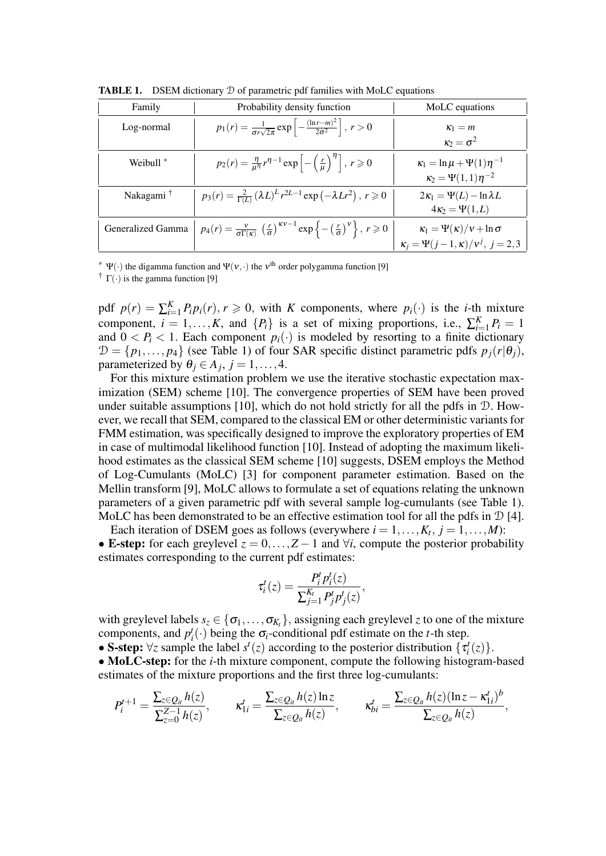| Family                | Probability density function                                                                                                                               | MoLC equations                             |  |  |
|-----------------------|------------------------------------------------------------------------------------------------------------------------------------------------------------|--------------------------------------------|--|--|
| Log-normal            | $p_1(r) = \frac{1}{\sigma r \sqrt{2\pi}} \exp \left[-\frac{(\ln r - m)^2}{2\sigma^2}\right], r > 0$                                                        | $\kappa_1 = m$                             |  |  |
|                       |                                                                                                                                                            | $\kappa_2 = \sigma^2$                      |  |  |
| Weibull $*$           | $p_2(r) = \frac{\eta}{\mu^{\eta}} r^{\eta-1} \exp \left[-\left(\frac{r}{\mu}\right)^{\eta}\right], r \geq 0$                                               | $\kappa_1 = \ln \mu + \Psi(1) \eta^{-1}$   |  |  |
|                       |                                                                                                                                                            | $\kappa_2 = \Psi(1,1)\eta^{-2}$            |  |  |
| Nakagami <sup>†</sup> | $p_3(r) = \frac{2}{\Gamma(L)} (\lambda L)^L r^{2L-1} \exp(-\lambda L r^2), r \geq 0$                                                                       | $2\kappa_1 = \Psi(L) - \ln \lambda L$      |  |  |
|                       |                                                                                                                                                            | $4\kappa_2 = \Psi(1,L)$                    |  |  |
| Generalized Gamma     | $p_4(r) = \frac{v}{\sigma \Gamma(\kappa)} \left(\frac{r}{\sigma}\right)^{\kappa \nu - 1} \exp\left\{-\left(\frac{r}{\sigma}\right)^{\nu}\right\}, r \ge 0$ | $\kappa_1 = \Psi(\kappa)/v + \ln \sigma$   |  |  |
|                       |                                                                                                                                                            | $\kappa_i = \Psi(j-1,\kappa)/v^j, j = 2,3$ |  |  |

TABLE 1. DSEM dictionary D of parametric pdf families with MoLC equations

*<sup>∗</sup>* Ψ(*·*) the digamma function and Ψ(ν*,·*) the <sup>ν</sup> th order polygamma function [9]

† Γ(*·*) is the gamma function [9]

pdf  $p(r) = \sum_{i=1}^{K} P_i p_i(r)$ ,  $r \ge 0$ , with *K* components, where  $p_i(\cdot)$  is the *i*-th mixture component,  $i = 1, ..., K$ , and  $\{P_i\}$  is a set of mixing proportions, i.e.,  $\sum_{i=1}^{K} P_i = 1$ and  $0 < P_i < 1$ . Each component  $p_i(\cdot)$  is modeled by resorting to a finite dictionary  $\mathcal{D} = \{p_1, \ldots, p_4\}$  (see Table 1) of four SAR specific distinct parametric pdfs  $p_j(r|\theta_j)$ , parameterized by  $\theta_j \in A_j$ ,  $j = 1, ..., 4$ .

For this mixture estimation problem we use the iterative stochastic expectation maximization (SEM) scheme [10]. The convergence properties of SEM have been proved under suitable assumptions [10], which do not hold strictly for all the pdfs in  $D$ . However, we recall that SEM, compared to the classical EM or other deterministic variants for FMM estimation, was specifically designed to improve the exploratory properties of EM in case of multimodal likelihood function [10]. Instead of adopting the maximum likelihood estimates as the classical SEM scheme [10] suggests, DSEM employs the Method of Log-Cumulants (MoLC) [3] for component parameter estimation. Based on the Mellin transform [9], MoLC allows to formulate a set of equations relating the unknown parameters of a given parametric pdf with several sample log-cumulants (see Table 1). MoLC has been demonstrated to be an effective estimation tool for all the pdfs in  $\mathcal{D}$  [4].

Each iteration of DSEM goes as follows (everywhere  $i = 1, \ldots, K_t, j = 1, \ldots, M$ ): • **E-step:** for each greylevel  $z = 0, \ldots, Z - 1$  and  $\forall i$ , compute the posterior probability estimates corresponding to the current pdf estimates:

$$
\tau_i^t(z) = \frac{P_i^t p_i^t(z)}{\sum_{j=1}^{K_t} P_j^t p_j^t(z)},
$$

with greylevel labels  $s_z \in \{\sigma_1, \ldots, \sigma_{K_t}\}\$ , assigning each greylevel *z* to one of the mixture components, and  $p_i^t(\cdot)$  being the  $\sigma_i$ -conditional pdf estimate on the *t*-th step.

• S-step:  $\forall z$  sample the label  $s^t(z)$  according to the posterior distribution  $\{\bar{\tau}_i^t(z)\}$ .

• **MoLC-step:** for the *i*-th mixture component, compute the following histogram-based estimates of the mixture proportions and the first three log-cumulants:

$$
P_i^{t+1} = \frac{\sum_{z \in Q_{it}} h(z)}{\sum_{z=0}^{Z-1} h(z)}, \qquad \kappa_{1i}^t = \frac{\sum_{z \in Q_{it}} h(z) \ln z}{\sum_{z \in Q_{it}} h(z)}, \qquad \kappa_{bi}^t = \frac{\sum_{z \in Q_{it}} h(z) (\ln z - \kappa_{1i}^t)^b}{\sum_{z \in Q_{it}} h(z)},
$$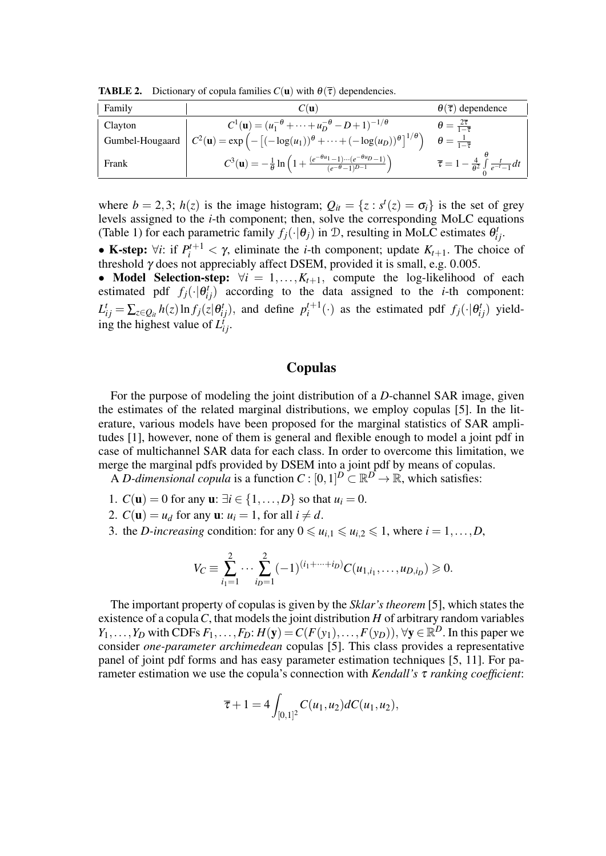**TABLE 2.** Dictionary of copula families  $C(\mathbf{u})$  with  $\theta(\overline{\tau})$  dependencies.

| Family  | $C(\mathbf{u})$                                                                                                                                 | $\theta(\overline{\tau})$ dependence                                            |  |
|---------|-------------------------------------------------------------------------------------------------------------------------------------------------|---------------------------------------------------------------------------------|--|
| Clayton | $C^1(\mathbf{u}) = (u_1^{-\theta} + \dots + u_D^{-\theta} - D + 1)^{-1/\theta}$                                                                 | $\theta = \frac{2\tau}{1-\overline{\tau}}$                                      |  |
|         | Gumbel-Hougaard $C^2(\mathbf{u}) = \exp\left(-\left[(-\log(u_1))^{\theta} + \cdots + (-\log(u_D))^{\theta}\right]^{1/\theta}\right)$            | $\theta = \frac{1}{1-\overline{\tau}}$                                          |  |
| Frank   | $C^3(\mathbf{u}) = -\frac{1}{\theta} \ln \left( 1 + \frac{(e^{-\theta u_1} - 1) \cdots (e^{-\theta u_D} - 1)}{(e^{-\theta} - 1)^{D-1}} \right)$ | $\overline{\tau} = 1 - \frac{4}{\theta^2} \int_{0}^{b} \frac{t}{e^{-t} - 1} dt$ |  |

where  $b = 2,3$ ;  $h(z)$  is the image histogram;  $Q_{it} = \{z : s^t(z) = \sigma_i\}$  is the set of grey levels assigned to the *i*-th component; then, solve the corresponding MoLC equations (Table 1) for each parametric family  $f_j(\cdot|\theta_j)$  in D, resulting in MoLC estimates  $\theta_{ij}^t$ .

**•** K-step:  $\forall i$ : if  $P_i^{t+1} < \gamma$ , eliminate the *i*-th component; update  $K_{t+1}$ . The choice of threshold γ does not appreciably affect DSEM, provided it is small, e.g. 0*.*005.

*•* Model Selection-step: *∀i* = 1*,...,Kt*+1*,* compute the log-likelihood of each estimated pdf  $f_j(\cdot|\theta_{ij}^t)$  according to the data assigned to the *i*-th component:  $L_{ij}^t = \sum_{z \in Q_{it}} h(z) \ln f_j(z|\theta_{ij}^t)$ , and define  $p_i^{t+1}$  $i^{t+1}$  (*·*) as the estimated pdf  $f_j(\cdot|\theta_{ij}^t)$  yielding the highest value of  $L_{ij}^{i}$ .

## Copulas

For the purpose of modeling the joint distribution of a *D*-channel SAR image, given the estimates of the related marginal distributions, we employ copulas [5]. In the literature, various models have been proposed for the marginal statistics of SAR amplitudes [1], however, none of them is general and flexible enough to model a joint pdf in case of multichannel SAR data for each class. In order to overcome this limitation, we merge the marginal pdfs provided by DSEM into a joint pdf by means of copulas.

A *D-dimensional copula* is a function  $C : [0,1]^D \subset \mathbb{R}^D \to \mathbb{R}$ , which satisfies:

- 1.  $C(\mathbf{u}) = 0$  for any  $\mathbf{u}: \exists i \in \{1, ..., D\}$  so that  $u_i = 0$ .
- 2.  $C(\mathbf{u}) = u_d$  for any  $\mathbf{u}: u_i = 1$ , for all  $i \neq d$ .
- 3. the *D*-increasing condition: for any  $0 \le u_{i,1} \le u_{i,2} \le 1$ , where  $i = 1, \ldots, D$ ,

$$
V_C \equiv \sum_{i_1=1}^2 \cdots \sum_{i_D=1}^2 (-1)^{(i_1+\cdots+i_D)} C(u_{1,i_1},\ldots,u_{D,i_D}) \geq 0.
$$

The important property of copulas is given by the *Sklar's theorem* [5], which states the existence of a copula*C*, that models the joint distribution *H* of arbitrary random variables *Y*<sub>1</sub>*,...,Y*<sub>*D*</sub> with CDFs *F*<sub>1</sub>*,...,F*<sub>*D*</sub>: *H*(**y**) = *C*(*F*(*y*<sub>1</sub>)*,...,F*(*y*<sub>*D*</sub>))*,* ∀**y** ∈  $\mathbb{R}^D$ . In this paper we consider *one-parameter archimedean* copulas [5]. This class provides a representative panel of joint pdf forms and has easy parameter estimation techniques [5, 11]. For parameter estimation we use the copula's connection with *Kendall's* <sup>τ</sup> *ranking coefficient*:

$$
\overline{\tau} + 1 = 4 \int_{[0,1]^2} C(u_1, u_2) dC(u_1, u_2),
$$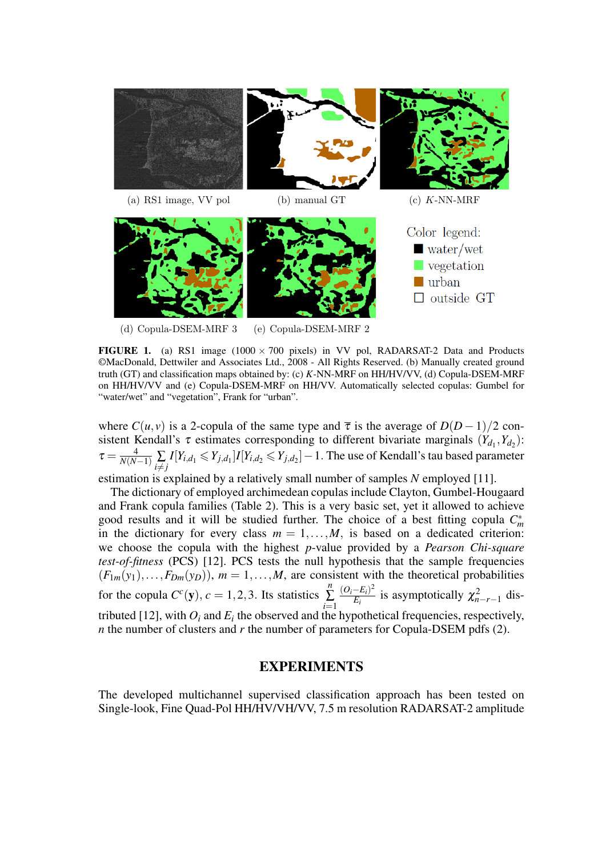

(d) Copula-DSEM-MRF 3 (e) Copula-DSEM-MRF 2

FIGURE 1. (a) RS1 image (1000 *×* 700 pixels) in VV pol, RADARSAT-2 Data and Products ©MacDonald, Dettwiler and Associates Ltd., 2008 - All Rights Reserved. (b) Manually created ground truth (GT) and classification maps obtained by: (c) *K*-NN-MRF on HH/HV/VV, (d) Copula-DSEM-MRF on HH/HV/VV and (e) Copula-DSEM-MRF on HH/VV. Automatically selected copulas: Gumbel for "water/wet" and "vegetation", Frank for "urban".

where  $C(u, v)$  is a 2-copula of the same type and  $\bar{\tau}$  is the average of  $D(D-1)/2$  consistent Kendall's  $\tau$  estimates corresponding to different bivariate marginals  $(Y_{d_1}, Y_{d_2})$ :  $\tau=\frac{4}{N(N-1)}\sum\limits_{i\neq j}I[Y_{i,d_1}\leq Y_{j,d_1}]I[Y_{i,d_2}\leq Y_{j,d_2}]-1.$  The use of Kendall's tau based parameter

estimation is explained by a relatively small number of samples *N* employed [11].

The dictionary of employed archimedean copulas include Clayton, Gumbel-Hougaard and Frank copula families (Table 2). This is a very basic set, yet it allowed to achieve good results and it will be studied further. The choice of a best fitting copula  $C_m^*$ in the dictionary for every class  $m = 1, \ldots, M$ , is based on a dedicated criterion: we choose the copula with the highest *p*-value provided by a *Pearson Chi-square test-of-fitness* (PCS) [12]. PCS tests the null hypothesis that the sample frequencies  $(F_{1m}(y_1),...,F_{Dm}(y_D))$ ,  $m=1,...,M$ , are consistent with the theoretical probabilities for the copula  $C^c(y)$ ,  $c = 1, 2, 3$ . Its statistics *n* ∑ *i*=1  $(O_i - E_i)^2$  $\frac{(-E_i)^2}{E_i}$  is asymptotically  $\chi^2_{n-r-1}$  distributed [12], with  $O_i$  and  $E_i$  the observed and the hypothetical frequencies, respectively, *n* the number of clusters and *r* the number of parameters for Copula-DSEM pdfs (2).

## EXPERIMENTS

The developed multichannel supervised classification approach has been tested on Single-look, Fine Quad-Pol HH/HV/VH/VV, 7.5 m resolution RADARSAT-2 amplitude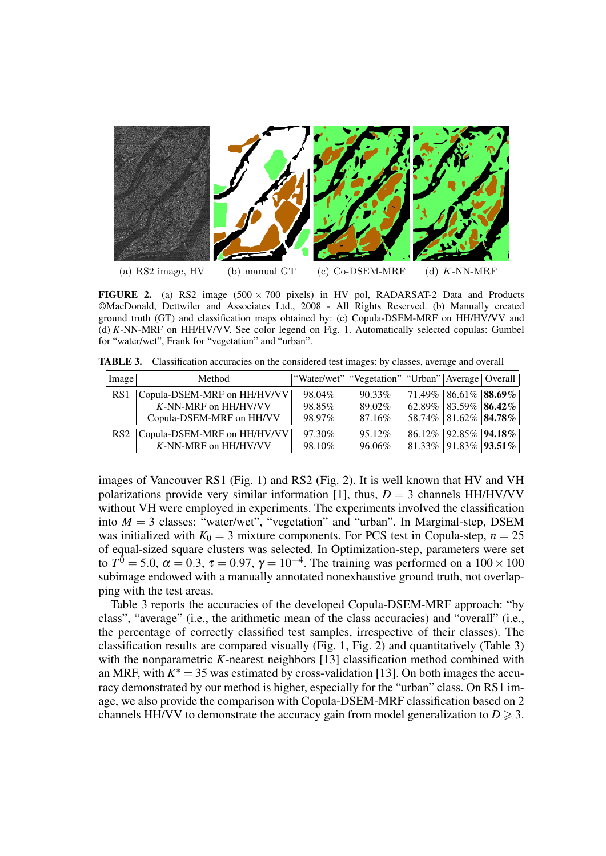

**FIGURE 2.** (a) RS2 image  $(500 \times 700)$  pixels) in HV pol, RADARSAT-2 Data and Products ©MacDonald, Dettwiler and Associates Ltd., 2008 - All Rights Reserved. (b) Manually created ground truth (GT) and classification maps obtained by: (c) Copula-DSEM-MRF on HH/HV/VV and (d) *K*-NN-MRF on HH/HV/VV. See color legend on Fig. 1. Automatically selected copulas: Gumbel for "water/wet", Frank for "vegetation" and "urban".

TABLE 3. Classification accuracies on the considered test images: by classes, average and overall

| Image           | Method                      |        | "Water/wet" "Vegetation" "Urban"   Average   Overall |                                     |  |
|-----------------|-----------------------------|--------|------------------------------------------------------|-------------------------------------|--|
| RS1             | Copula-DSEM-MRF on HH/HV/VV | 98.04% | $90.33\%$                                            | $71.49\%$   86.61%   88.69%         |  |
|                 | K-NN-MRF on HH/HV/VV        | 98.85% | 89.02%                                               | $62.89\%$   83.59%   86.42%         |  |
|                 | Copula-DSEM-MRF on HH/VV    | 98.97% | 87.16%                                               | 58.74% 81.62% 84.78%                |  |
| RS <sub>2</sub> | Copula-DSEM-MRF on HH/HV/VV | 97.30% | 95.12%                                               | 86.12%   92.85%   94.18%            |  |
|                 | K-NN-MRF on HH/HV/VV        | 98.10% | 96.06%                                               | $81.33\%$   91.83%   <b>93.51</b> % |  |

images of Vancouver RS1 (Fig. 1) and RS2 (Fig. 2). It is well known that HV and VH polarizations provide very similar information [1], thus,  $D = 3$  channels HH/HV/VV without VH were employed in experiments. The experiments involved the classification into  $M = 3$  classes: "water/wet", "vegetation" and "urban". In Marginal-step, DSEM was initialized with  $K_0 = 3$  mixture components. For PCS test in Copula-step,  $n = 25$ of equal-sized square clusters was selected. In Optimization-step, parameters were set to  $T^0 = 5.0$ ,  $\alpha = 0.3$ ,  $\tau = 0.97$ ,  $\gamma = 10^{-4}$ . The training was performed on a  $100 \times 100$ subimage endowed with a manually annotated nonexhaustive ground truth, not overlapping with the test areas.

Table 3 reports the accuracies of the developed Copula-DSEM-MRF approach: "by class", "average" (i.e., the arithmetic mean of the class accuracies) and "overall" (i.e., the percentage of correctly classified test samples, irrespective of their classes). The classification results are compared visually (Fig. 1, Fig. 2) and quantitatively (Table 3) with the nonparametric *K*-nearest neighbors [13] classification method combined with an MRF, with  $K^* = 35$  was estimated by cross-validation [13]. On both images the accuracy demonstrated by our method is higher, especially for the "urban" class. On RS1 image, we also provide the comparison with Copula-DSEM-MRF classification based on 2 channels HH/VV to demonstrate the accuracy gain from model generalization to  $D \geq 3$ .